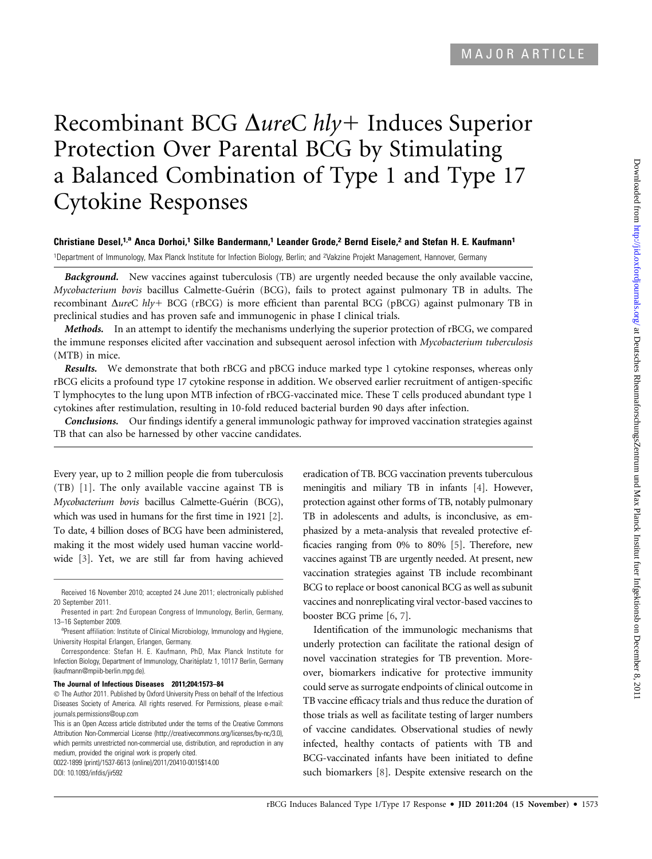# Recombinant BCG  $\Delta$ *ureC hly*+ Induces Superior Protection Over Parental BCG by Stimulating a Balanced Combination of Type 1 and Type 17 Cytokine Responses

## Christiane Desel,<sup>1,a</sup> Anca Dorhoi,<sup>1</sup> Silke Bandermann,<sup>1</sup> Leander Grode,<sup>2</sup> Bernd Eisele,<sup>2</sup> and Stefan H. E. Kaufmann<sup>1</sup>

<sup>1</sup>Department of Immunology, Max Planck Institute for Infection Biology, Berlin; and <sup>2</sup>Vakzine Projekt Management, Hannover, Germany

**Background.** New vaccines against tuberculosis (TB) are urgently needed because the only available vaccine, Mycobacterium bovis bacillus Calmette-Guérin (BCG), fails to protect against pulmonary TB in adults. The recombinant  $\Delta u$ reC hly+ BCG (rBCG) is more efficient than parental BCG (pBCG) against pulmonary TB in preclinical studies and has proven safe and immunogenic in phase I clinical trials.

Methods. In an attempt to identify the mechanisms underlying the superior protection of rBCG, we compared the immune responses elicited after vaccination and subsequent aerosol infection with Mycobacterium tuberculosis (MTB) in mice.

Results. We demonstrate that both rBCG and pBCG induce marked type 1 cytokine responses, whereas only rBCG elicits a profound type 17 cytokine response in addition. We observed earlier recruitment of antigen-specific T lymphocytes to the lung upon MTB infection of rBCG-vaccinated mice. These T cells produced abundant type 1 cytokines after restimulation, resulting in 10-fold reduced bacterial burden 90 days after infection.

Conclusions. Our findings identify a general immunologic pathway for improved vaccination strategies against TB that can also be harnessed by other vaccine candidates.

Every year, up to 2 million people die from tuberculosis (TB) [[1\]](#page-10-0). The only available vaccine against TB is Mycobacterium bovis bacillus Calmette-Guérin (BCG), which was used in humans for the first time in 1921 [\[2\]](#page-10-0). To date, 4 billion doses of BCG have been administered, making it the most widely used human vaccine worldwide [[3](#page-10-0)]. Yet, we are still far from having achieved

#### The Journal of Infectious Diseases 2011;204:1573–84

 The Author 2011. Published by Oxford University Press on behalf of the Infectious Diseases Society of America. All rights reserved. For Permissions, please e-mail: journals.permissions@oup.com

0022-1899 (print)/1537-6613 (online)/2011/20410-0015\$14.00 DOI: 10.1093/infdis/jir592

eradication of TB. BCG vaccination prevents tuberculous meningitis and miliary TB in infants [\[4\]](#page-10-0). However, protection against other forms of TB, notably pulmonary TB in adolescents and adults, is inconclusive, as emphasized by a meta-analysis that revealed protective efficacies ranging from 0% to 80% [[5](#page-10-0)]. Therefore, new vaccines against TB are urgently needed. At present, new vaccination strategies against TB include recombinant BCG to replace or boost canonical BCG as well as subunit vaccines and nonreplicating viral vector-based vaccines to booster BCG prime [\[6,](#page-10-0) [7\]](#page-10-0).

Identification of the immunologic mechanisms that underly protection can facilitate the rational design of novel vaccination strategies for TB prevention. Moreover, biomarkers indicative for protective immunity could serve as surrogate endpoints of clinical outcome in TB vaccine efficacy trials and thus reduce the duration of those trials as well as facilitate testing of larger numbers of vaccine candidates. Observational studies of newly infected, healthy contacts of patients with TB and BCG-vaccinated infants have been initiated to define such biomarkers [\[8](#page-10-0)]. Despite extensive research on the

Received 16 November 2010; accepted 24 June 2011; electronically published 20 September 2011.

Presented in part: 2nd European Congress of Immunology, Berlin, Germany, 13–16 September 2009.

<sup>&</sup>lt;sup>a</sup>Present affiliation: Institute of Clinical Microbiology, Immunology and Hygiene, University Hospital Erlangen, Erlangen, Germany.

Correspondence: Stefan H. E. Kaufmann, PhD, Max Planck Institute for Infection Biology, Department of Immunology, Charitéplatz 1, 10117 Berlin, Germany (kaufmann@mpiib-berlin.mpg.de).

This is an Open Access article distributed under the terms of the Creative Commons Attribution Non-Commercial License (http://creativecommons.org/licenses/by-nc/3.0), which permits unrestricted non-commercial use, distribution, and reproduction in any medium, provided the original work is properly cited.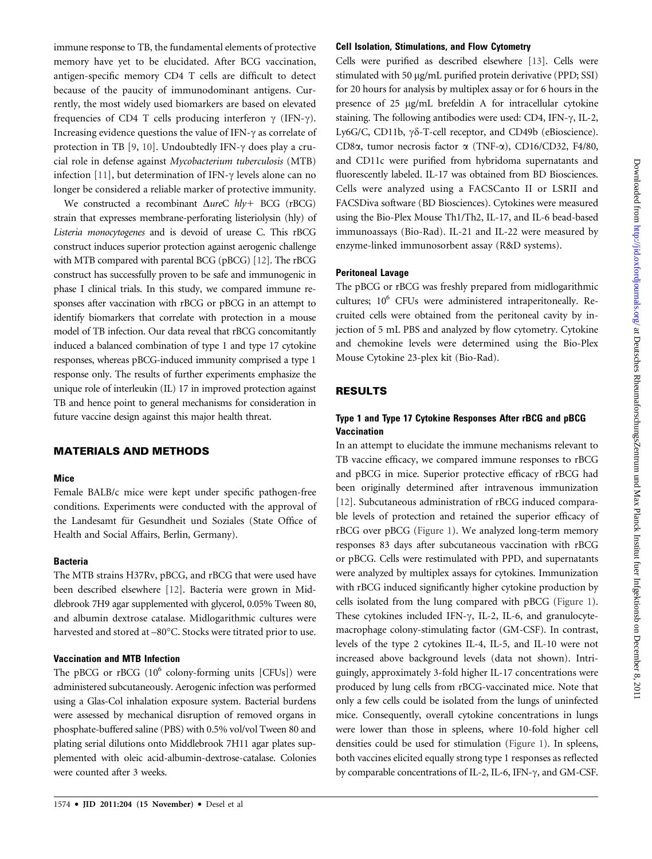immune response to TB, the fundamental elements of protective memory have yet to be elucidated. After BCG vaccination, antigen-specific memory CD4 T cells are difficult to detect because of the paucity of immunodominant antigens. Currently, the most widely used biomarkers are based on elevated frequencies of CD4 T cells producing interferon  $\gamma$  (IFN- $\gamma$ ). Increasing evidence questions the value of IFN- $\gamma$  as correlate of protection in TB [[9](#page-10-0), [10](#page-10-0)]. Undoubtedly IFN- $\gamma$  does play a crucial role in defense against Mycobacterium tuberculosis (MTB) infection [\[11](#page-10-0)], but determination of IFN- $\gamma$  levels alone can no longer be considered a reliable marker of protective immunity.

We constructed a recombinant  $\triangle$ ureC hly+ BCG (rBCG) strain that expresses membrane-perforating listeriolysin (hly) of Listeria monocytogenes and is devoid of urease C. This rBCG construct induces superior protection against aerogenic challenge with MTB compared with parental BCG (pBCG) [[12\]](#page-10-0). The rBCG construct has successfully proven to be safe and immunogenic in phase I clinical trials. In this study, we compared immune responses after vaccination with rBCG or pBCG in an attempt to identify biomarkers that correlate with protection in a mouse model of TB infection. Our data reveal that rBCG concomitantly induced a balanced combination of type 1 and type 17 cytokine responses, whereas pBCG-induced immunity comprised a type 1 response only. The results of further experiments emphasize the unique role of interleukin (IL) 17 in improved protection against TB and hence point to general mechanisms for consideration in future vaccine design against this major health threat.

## MATERIALS AND METHODS

#### Mice

Female BALB/c mice were kept under specific pathogen-free conditions. Experiments were conducted with the approval of the Landesamt für Gesundheit und Soziales (State Office of Health and Social Affairs, Berlin, Germany).

#### Bacteria

The MTB strains H37Rv, pBCG, and rBCG that were used have been described elsewhere [\[12\]](#page-10-0). Bacteria were grown in Middlebrook 7H9 agar supplemented with glycerol, 0.05% Tween 80, and albumin dextrose catalase. Midlogarithmic cultures were harvested and stored at -80°C. Stocks were titrated prior to use.

#### Vaccination and MTB Infection

The pBCG or rBCG  $(10^6 \text{ colony-forming units } [CFUs])$  were administered subcutaneously. Aerogenic infection was performed using a Glas-Col inhalation exposure system. Bacterial burdens were assessed by mechanical disruption of removed organs in phosphate-buffered saline (PBS) with 0.5% vol/vol Tween 80 and plating serial dilutions onto Middlebrook 7H11 agar plates supplemented with oleic acid-albumin-dextrose-catalase. Colonies were counted after 3 weeks.

## Cell Isolation, Stimulations, and Flow Cytometry

Cells were purified as described elsewhere [[13](#page-10-0)]. Cells were stimulated with 50 µg/mL purified protein derivative (PPD; SSI) for 20 hours for analysis by multiplex assay or for 6 hours in the presence of 25 µg/mL brefeldin A for intracellular cytokine staining. The following antibodies were used:  $CD4$ , IFN- $\gamma$ , IL-2, Ly6G/C, CD11b, γδ-T-cell receptor, and CD49b (eBioscience). CD8a, tumor necrosis factor a (TNF-a), CD16/CD32, F4/80, and CD11c were purified from hybridoma supernatants and fluorescently labeled. IL-17 was obtained from BD Biosciences. Cells were analyzed using a FACSCanto II or LSRII and FACSDiva software (BD Biosciences). Cytokines were measured using the Bio-Plex Mouse Th1/Th2, IL-17, and IL-6 bead-based immunoassays (Bio-Rad). IL-21 and IL-22 were measured by enzyme-linked immunosorbent assay (R&D systems).

#### Peritoneal Lavage

The pBCG or rBCG was freshly prepared from midlogarithmic cultures;  $10^6$  CFUs were administered intraperitoneally. Recruited cells were obtained from the peritoneal cavity by injection of 5 mL PBS and analyzed by flow cytometry. Cytokine and chemokine levels were determined using the Bio-Plex Mouse Cytokine 23-plex kit (Bio-Rad).

## RESULTS

## Type 1 and Type 17 Cytokine Responses After rBCG and pBCG Vaccination

In an attempt to elucidate the immune mechanisms relevant to TB vaccine efficacy, we compared immune responses to rBCG and pBCG in mice. Superior protective efficacy of rBCG had been originally determined after intravenous immunization [\[12](#page-10-0)]. Subcutaneous administration of rBCG induced comparable levels of protection and retained the superior efficacy of rBCG over pBCG [\(Figure 1\)](#page-2-0). We analyzed long-term memory responses 83 days after subcutaneous vaccination with rBCG or pBCG. Cells were restimulated with PPD, and supernatants were analyzed by multiplex assays for cytokines. Immunization with rBCG induced significantly higher cytokine production by cells isolated from the lung compared with pBCG [\(Figure 1](#page-2-0)). These cytokines included IFN- $\gamma$ , IL-2, IL-6, and granulocytemacrophage colony-stimulating factor (GM-CSF). In contrast, levels of the type 2 cytokines IL-4, IL-5, and IL-10 were not increased above background levels (data not shown). Intriguingly, approximately 3-fold higher IL-17 concentrations were produced by lung cells from rBCG-vaccinated mice. Note that only a few cells could be isolated from the lungs of uninfected mice. Consequently, overall cytokine concentrations in lungs were lower than those in spleens, where 10-fold higher cell densities could be used for stimulation ([Figure 1](#page-2-0)). In spleens, both vaccines elicited equally strong type 1 responses as reflected by comparable concentrations of IL-2, IL-6, IFN- $\gamma$ , and GM-CSF.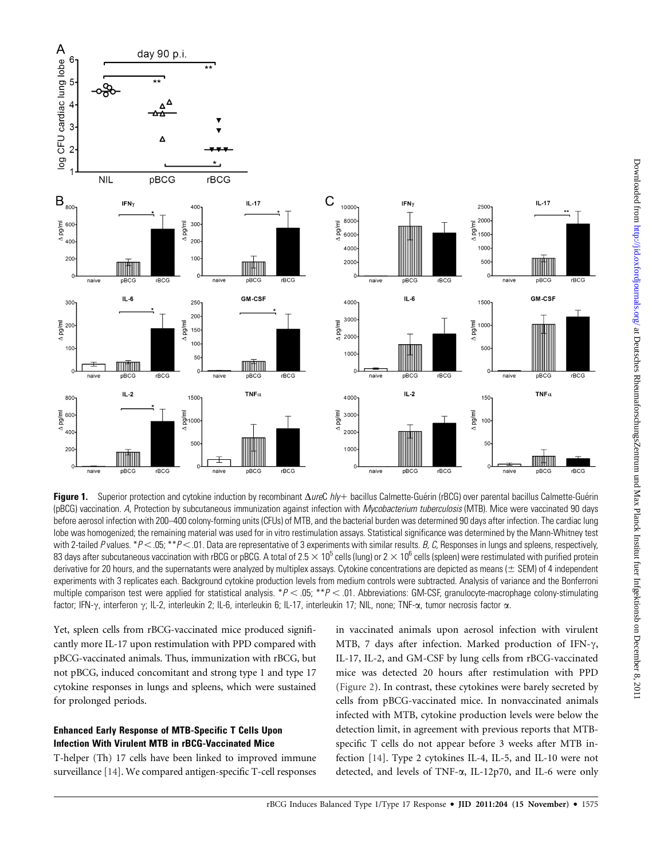<span id="page-2-0"></span>

Figure 1. Superior protection and cytokine induction by recombinant  $\Delta$ *ureC hly*+ bacillus Calmette-Guérin (rBCG) over parental bacillus Calmette-Guérin (pBCG) vaccination. A, Protection by subcutaneous immunization against infection with Mycobacterium tuberculosis (MTB). Mice were vaccinated 90 days before aerosol infection with 200–400 colony-forming units (CFUs) of MTB, and the bacterial burden was determined 90 days after infection. The cardiac lung lobe was homogenized; the remaining material was used for in vitro restimulation assays. Statistical significance was determined by the Mann-Whitney test with 2-tailed P values. \* $P < .05$ ; \*\* $P < .01$ . Data are representative of 3 experiments with similar results. B, C, Responses in lungs and spleens, respectively, 83 days after subcutaneous vaccination with rBCG or pBCG. A total of 2.5  $\times$  10<sup>5</sup> cells (lung) or 2  $\times$  10<sup>6</sup> cells (spleen) were restimulated with purified protein derivative for 20 hours, and the supernatants were analyzed by multiplex assays. Cytokine concentrations are depicted as means ( $\pm$  SEM) of 4 independent experiments with 3 replicates each. Background cytokine production levels from medium controls were subtracted. Analysis of variance and the Bonferroni multiple comparison test were applied for statistical analysis. \* $P < .05$ ; \*\* $P < .01$ . Abbreviations: GM-CSF, granulocyte-macrophage colony-stimulating factor; IFN- $\gamma$ , interferon  $\gamma$ ; IL-2, interleukin 2; IL-6, interleukin 6; IL-17, interleukin 17; NIL, none; TNF- $\alpha$ , tumor necrosis factor  $\alpha$ .

Yet, spleen cells from rBCG-vaccinated mice produced significantly more IL-17 upon restimulation with PPD compared with pBCG-vaccinated animals. Thus, immunization with rBCG, but not pBCG, induced concomitant and strong type 1 and type 17 cytokine responses in lungs and spleens, which were sustained for prolonged periods.

## Enhanced Early Response of MTB-Specific T Cells Upon Infection With Virulent MTB in rBCG-Vaccinated Mice

T-helper (Th) 17 cells have been linked to improved immune surveillance [\[14\]](#page-10-0). We compared antigen-specific T-cell responses

in vaccinated animals upon aerosol infection with virulent MTB, 7 days after infection. Marked production of IFN- $\gamma$ , IL-17, IL-2, and GM-CSF by lung cells from rBCG-vaccinated mice was detected 20 hours after restimulation with PPD [\(Figure 2](#page-3-0)). In contrast, these cytokines were barely secreted by cells from pBCG-vaccinated mice. In nonvaccinated animals infected with MTB, cytokine production levels were below the detection limit, in agreement with previous reports that MTBspecific T cells do not appear before 3 weeks after MTB infection [\[14](#page-10-0)]. Type 2 cytokines IL-4, IL-5, and IL-10 were not detected, and levels of TNF-a, IL-12p70, and IL-6 were only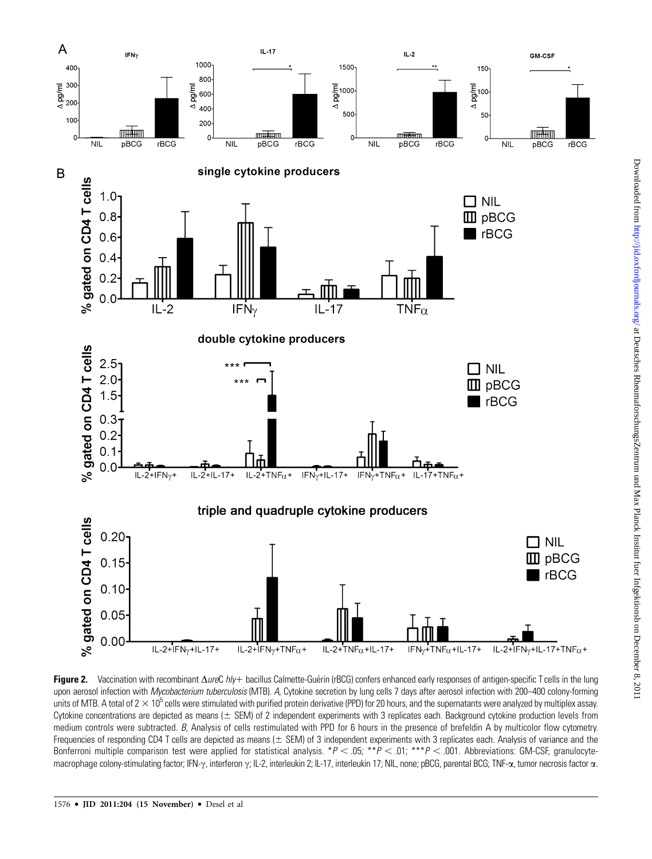<span id="page-3-0"></span>

Figure 2. Vaccination with recombinant  $\Delta$ *ureC hly*+ bacillus Calmette-Guérin (rBCG) confers enhanced early responses of antigen-specific T cells in the lung upon aerosol infection with Mycobacterium tuberculosis (MTB). A, Cytokine secretion by lung cells 7 days after aerosol infection with 200-400 colony-forming units of MTB. A total of  $2 \times 10^5$  cells were stimulated with purified protein derivative (PPD) for 20 hours, and the supernatants were analyzed by multiplex assay. Cytokine concentrations are depicted as means  $(\pm$  SEM) of 2 independent experiments with 3 replicates each. Background cytokine production levels from medium controls were subtracted. B, Analysis of cells restimulated with PPD for 6 hours in the presence of brefeldin A by multicolor flow cytometry. Frequencies of responding CD4 T cells are depicted as means  $( \pm \text{ SEM})$  of 3 independent experiments with 3 replicates each. Analysis of variance and the Bonferroni multiple comparison test were applied for statistical analysis. \* $P < .05$ ; \*\* $P < .01$ ; \*\*\* $P < .001$ . Abbreviations: GM-CSF, granulocytemacrophage colony-stimulating factor; IFN- $\gamma$ , interferon  $\gamma$ ; IL-2, interleukin 2; IL-17, interleukin 17; NIL, none; pBCG, parental BCG; TNF- $\alpha$ , tumor necrosis factor  $\alpha$ .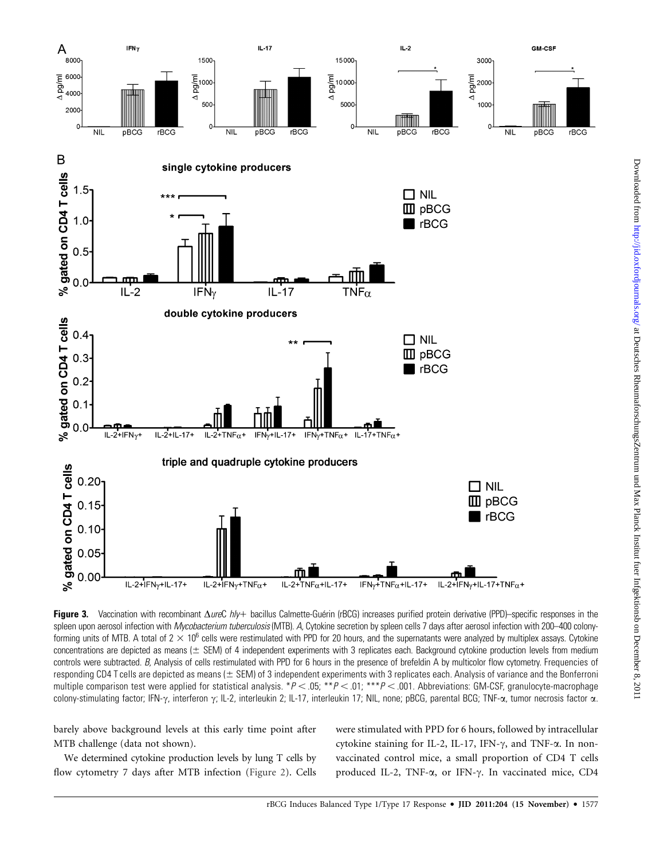<span id="page-4-0"></span>

**Figure 3.** Vaccination with recombinant  $\Delta u$ reC hly+ bacillus Calmette-Guérin (rBCG) increases purified protein derivative (PPD)–specific responses in the spleen upon aerosol infection with Mycobacterium tuberculosis (MTB). A, Cytokine secretion by spleen cells 7 days after aerosol infection with 200-400 colonyforming units of MTB. A total of  $2 \times 10^6$  cells were restimulated with PPD for 20 hours, and the supernatants were analyzed by multiplex assays. Cytokine concentrations are depicted as means  $(\pm$  SEM) of 4 independent experiments with 3 replicates each. Background cytokine production levels from medium controls were subtracted. B, Analysis of cells restimulated with PPD for 6 hours in the presence of brefeldin A by multicolor flow cytometry. Frequencies of responding CD4 T cells are depicted as means  $(±$  SEM) of 3 independent experiments with 3 replicates each. Analysis of variance and the Bonferroni multiple comparison test were applied for statistical analysis. \* $P < .05$ ; \*\* $P < .01$ ; \*\*\* $P < .001$ . Abbreviations: GM-CSF, granulocyte-macrophage colony-stimulating factor; IFN- $\gamma$ , interferon  $\gamma$ ; IL-2, interleukin 2; IL-17, interleukin 17; NIL, none; pBCG, parental BCG; TNF- $\alpha$ , tumor necrosis factor  $\alpha$ .

barely above background levels at this early time point after MTB challenge (data not shown).

We determined cytokine production levels by lung T cells by flow cytometry 7 days after MTB infection [\(Figure 2](#page-3-0)). Cells

were stimulated with PPD for 6 hours, followed by intracellular cytokine staining for IL-2, IL-17, IFN- $\gamma$ , and TNF- $\alpha$ . In nonvaccinated control mice, a small proportion of CD4 T cells produced IL-2, TNF- $\alpha$ , or IFN- $\gamma$ . In vaccinated mice, CD4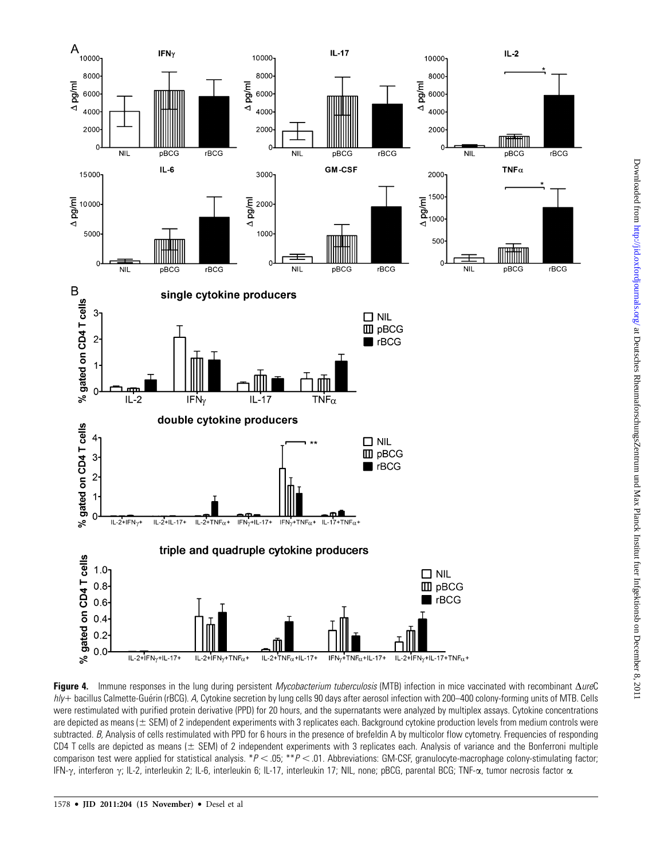<span id="page-5-0"></span>

Figure 4. Immune responses in the lung during persistent Mycobacterium tuberculosis (MTB) infection in mice vaccinated with recombinant  $\Delta$ ureC hly+ bacillus Calmette-Guérin (rBCG). A, Cytokine secretion by lung cells 90 days after aerosol infection with 200-400 colony-forming units of MTB. Cells were restimulated with purified protein derivative (PPD) for 20 hours, and the supernatants were analyzed by multiplex assays. Cytokine concentrations are depicted as means ( $\pm$  SEM) of 2 independent experiments with 3 replicates each. Background cytokine production levels from medium controls were subtracted. B, Analysis of cells restimulated with PPD for 6 hours in the presence of brefeldin A by multicolor flow cytometry. Frequencies of responding CD4 T cells are depicted as means ( $\pm$  SEM) of 2 independent experiments with 3 replicates each. Analysis of variance and the Bonferroni multiple comparison test were applied for statistical analysis. \* $P < .05$ ; \*\* $P < .01$ . Abbreviations: GM-CSF, granulocyte-macrophage colony-stimulating factor; IFN-γ, interferon γ; IL-2, interleukin 2; IL-6, interleukin 6; IL-17, interleukin 17; NIL, none; pBCG, parental BCG; TNF-α, tumor necrosis factor α.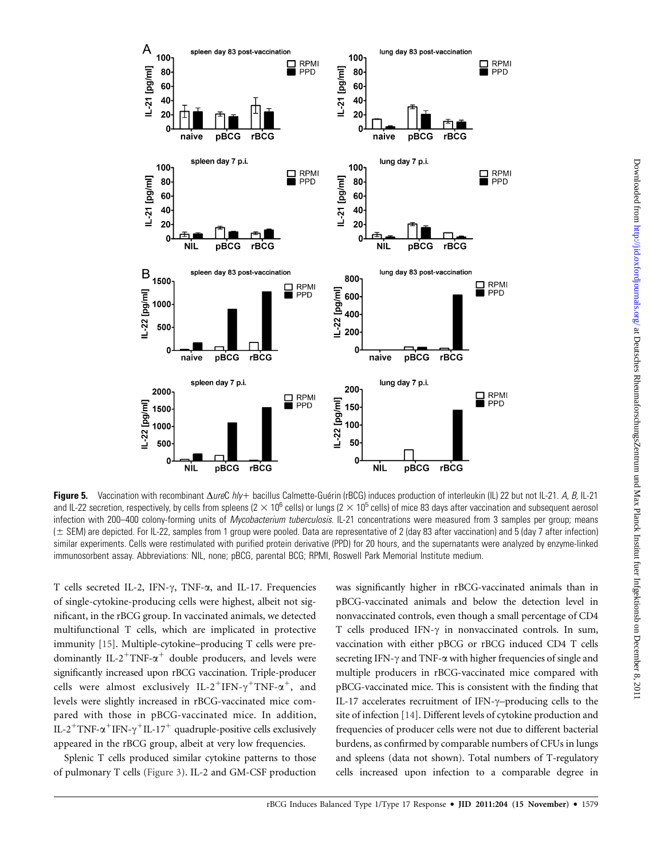<span id="page-6-0"></span>

Figure 5. Vaccination with recombinant  $\Delta u$ reC  $h/v$  bacillus Calmette-Guérin (rBCG) induces production of interleukin (IL) 22 but not IL-21. A, B, IL-21 and IL-22 secretion, respectively, by cells from spleens ( $2 \times 10^6$  cells) or lungs ( $2 \times 10^5$  cells) of mice 83 days after vaccination and subsequent aerosol infection with 200–400 colony-forming units of Mycobacterium tuberculosis. IL-21 concentrations were measured from 3 samples per group; means (6 SEM) are depicted. For IL-22, samples from 1 group were pooled. Data are representative of 2 (day 83 after vaccination) and 5 (day 7 after infection) similar experiments. Cells were restimulated with purified protein derivative (PPD) for 20 hours, and the supernatants were analyzed by enzyme-linked immunosorbent assay. Abbreviations: NIL, none; pBCG, parental BCG; RPMI, Roswell Park Memorial Institute medium.

T cells secreted IL-2, IFN- $\gamma$ , TNF- $\alpha$ , and IL-17. Frequencies of single-cytokine-producing cells were highest, albeit not significant, in the rBCG group. In vaccinated animals, we detected multifunctional T cells, which are implicated in protective immunity [\[15\]](#page-10-0). Multiple-cytokine–producing T cells were predominantly IL-2<sup>+</sup>TNF- $\alpha$ <sup>+</sup> double producers, and levels were significantly increased upon rBCG vaccination. Triple-producer cells were almost exclusively IL-2<sup>+</sup>IFN- $\gamma$ <sup>+</sup>TNF- $\alpha$ <sup>+</sup>, and levels were slightly increased in rBCG-vaccinated mice compared with those in pBCG-vaccinated mice. In addition, IL-2<sup>+</sup>TNF- $\alpha$ <sup>+</sup>IFN- $\gamma$ <sup>+</sup>IL-17<sup>+</sup> quadruple-positive cells exclusively appeared in the rBCG group, albeit at very low frequencies.

Splenic T cells produced similar cytokine patterns to those of pulmonary T cells [\(Figure 3](#page-4-0)). IL-2 and GM-CSF production

was significantly higher in rBCG-vaccinated animals than in pBCG-vaccinated animals and below the detection level in nonvaccinated controls, even though a small percentage of CD4 T cells produced IFN- $\gamma$  in nonvaccinated controls. In sum, vaccination with either pBCG or rBCG induced CD4 T cells secreting IFN- $\gamma$  and TNF- $\alpha$  with higher frequencies of single and multiple producers in rBCG-vaccinated mice compared with pBCG-vaccinated mice. This is consistent with the finding that IL-17 accelerates recruitment of IFN- $\gamma$ –producing cells to the site of infection [[14\]](#page-10-0). Different levels of cytokine production and frequencies of producer cells were not due to different bacterial burdens, as confirmed by comparable numbers of CFUs in lungs and spleens (data not shown). Total numbers of T-regulatory cells increased upon infection to a comparable degree in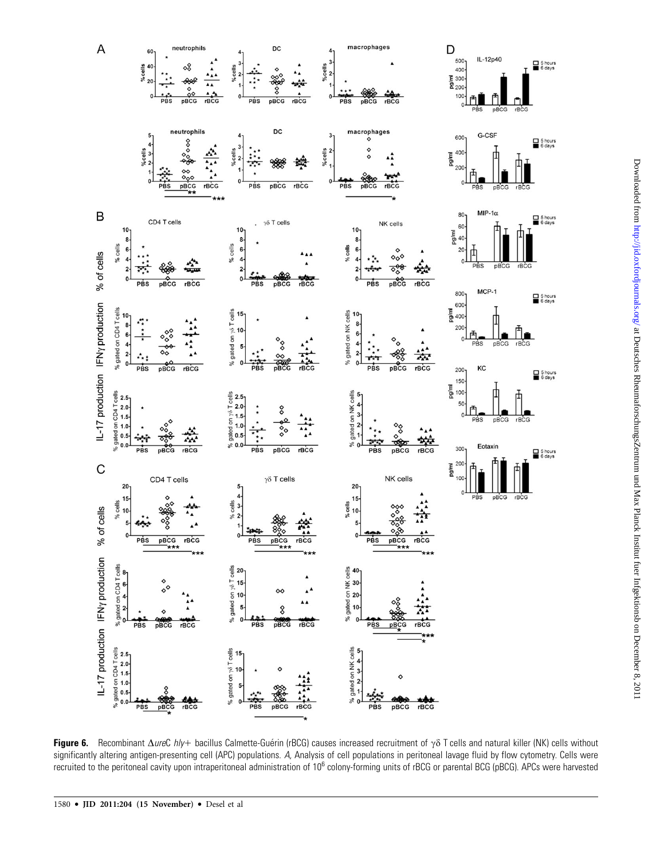<span id="page-7-0"></span>

Figure 6. Recombinant  $\Delta$ ureC hly+ bacillus Calmette-Guérin (rBCG) causes increased recruitment of  $\gamma\delta$  T cells and natural killer (NK) cells without significantly altering antigen-presenting cell (APC) populations. A, Analysis of cell populations in peritoneal lavage fluid by flow cytometry. Cells were recruited to the peritoneal cavity upon intraperitoneal administration of 10<sup>6</sup> colony-forming units of rBCG or parental BCG (pBCG). APCs were harvested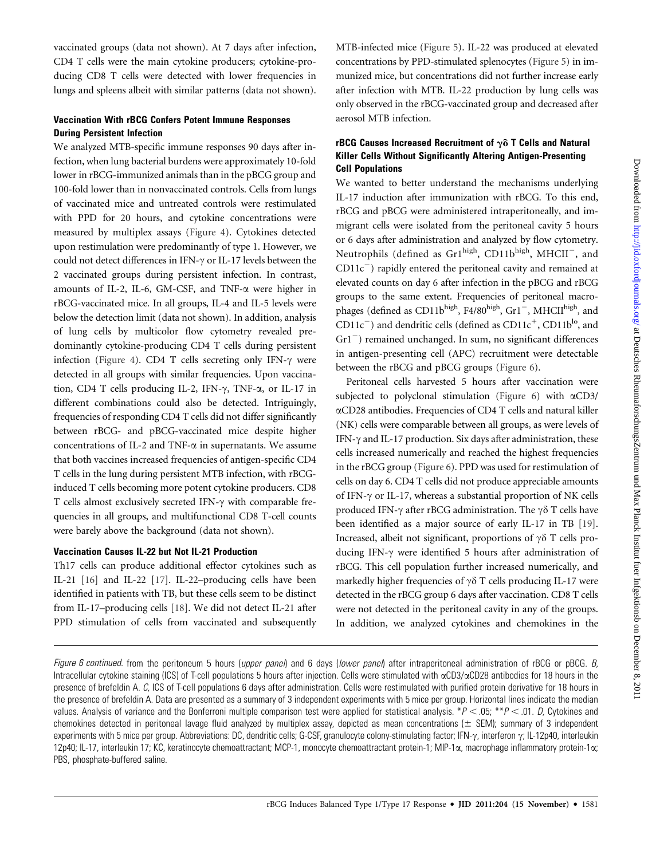vaccinated groups (data not shown). At 7 days after infection, CD4 T cells were the main cytokine producers; cytokine-producing CD8 T cells were detected with lower frequencies in lungs and spleens albeit with similar patterns (data not shown).

## Vaccination With rBCG Confers Potent Immune Responses During Persistent Infection

We analyzed MTB-specific immune responses 90 days after infection, when lung bacterial burdens were approximately 10-fold lower in rBCG-immunized animals than in the pBCG group and 100-fold lower than in nonvaccinated controls. Cells from lungs of vaccinated mice and untreated controls were restimulated with PPD for 20 hours, and cytokine concentrations were measured by multiplex assays ([Figure 4](#page-5-0)). Cytokines detected upon restimulation were predominantly of type 1. However, we could not detect differences in IFN- $\gamma$  or IL-17 levels between the 2 vaccinated groups during persistent infection. In contrast, amounts of IL-2, IL-6, GM-CSF, and TNF- $\alpha$  were higher in rBCG-vaccinated mice. In all groups, IL-4 and IL-5 levels were below the detection limit (data not shown). In addition, analysis of lung cells by multicolor flow cytometry revealed predominantly cytokine-producing CD4 T cells during persistent infection [\(Figure 4\)](#page-5-0). CD4 T cells secreting only IFN- $\gamma$  were detected in all groups with similar frequencies. Upon vaccination, CD4 T cells producing IL-2, IFN- $\gamma$ , TNF- $\alpha$ , or IL-17 in different combinations could also be detected. Intriguingly, frequencies of responding CD4 T cells did not differ significantly between rBCG- and pBCG-vaccinated mice despite higher concentrations of IL-2 and TNF- $\alpha$  in supernatants. We assume that both vaccines increased frequencies of antigen-specific CD4 T cells in the lung during persistent MTB infection, with rBCGinduced T cells becoming more potent cytokine producers. CD8 T cells almost exclusively secreted IFN- $\gamma$  with comparable frequencies in all groups, and multifunctional CD8 T-cell counts were barely above the background (data not shown).

#### Vaccination Causes IL-22 but Not IL-21 Production

Th17 cells can produce additional effector cytokines such as IL-21 [\[16](#page-10-0)] and IL-22 [\[17](#page-10-0)]. IL-22–producing cells have been identified in patients with TB, but these cells seem to be distinct from IL-17–producing cells [\[18\]](#page-10-0). We did not detect IL-21 after PPD stimulation of cells from vaccinated and subsequently MTB-infected mice [\(Figure 5](#page-6-0)). IL-22 was produced at elevated concentrations by PPD-stimulated splenocytes [\(Figure 5\)](#page-6-0) in immunized mice, but concentrations did not further increase early after infection with MTB. IL-22 production by lung cells was only observed in the rBCG-vaccinated group and decreased after aerosol MTB infection.

## rBCG Causes Increased Recruitment of  $\gamma\delta$  T Cells and Natural Killer Cells Without Significantly Altering Antigen-Presenting Cell Populations

We wanted to better understand the mechanisms underlying IL-17 induction after immunization with rBCG. To this end, rBCG and pBCG were administered intraperitoneally, and immigrant cells were isolated from the peritoneal cavity 5 hours or 6 days after administration and analyzed by flow cytometry. Neutrophils (defined as  $\text{Gr1}^{\text{high}}$ ,  $\text{CD11b}^{\text{high}}$ ,  $\text{MHCII}^-$ , and  $CD11c^-$ ) rapidly entered the peritoneal cavity and remained at elevated counts on day 6 after infection in the pBCG and rBCG groups to the same extent. Frequencies of peritoneal macrophages (defined as CD11b<sup>high</sup>, F4/80<sup>high</sup>, Gr1<sup>-</sup>, MHCII<sup>high</sup>, and CD11c<sup>-</sup>) and dendritic cells (defined as CD11c<sup>+</sup>, CD11b<sup>lo</sup>, and  $Gr1^-$ ) remained unchanged. In sum, no significant differences in antigen-presenting cell (APC) recruitment were detectable between the rBCG and pBCG groups [\(Figure 6\)](#page-7-0).

Peritoneal cells harvested 5 hours after vaccination were subjected to polyclonal stimulation [\(Figure 6\)](#page-7-0) with aCD3/ aCD28 antibodies. Frequencies of CD4 T cells and natural killer (NK) cells were comparable between all groups, as were levels of IFN- $\gamma$  and IL-17 production. Six days after administration, these cells increased numerically and reached the highest frequencies in the rBCG group [\(Figure 6\)](#page-7-0). PPD was used for restimulation of cells on day 6. CD4 T cells did not produce appreciable amounts of IFN- $\gamma$  or IL-17, whereas a substantial proportion of NK cells produced IFN- $\gamma$  after rBCG administration. The  $\gamma\delta$  T cells have been identified as a major source of early IL-17 in TB [\[19](#page-10-0)]. Increased, albeit not significant, proportions of  $\gamma\delta$  T cells producing IFN- $\gamma$  were identified 5 hours after administration of rBCG. This cell population further increased numerically, and markedly higher frequencies of  $\gamma \delta$  T cells producing IL-17 were detected in the rBCG group 6 days after vaccination. CD8 T cells were not detected in the peritoneal cavity in any of the groups. In addition, we analyzed cytokines and chemokines in the

Figure 6 continued. from the peritoneum 5 hours (upper panel) and 6 days (lower panel) after intraperitoneal administration of rBCG or pBCG. B, Intracellular cytokine staining (ICS) of T-cell populations 5 hours after injection. Cells were stimulated with  $\alpha$ CD3/ $\alpha$ CD28 antibodies for 18 hours in the presence of brefeldin A. C, ICS of T-cell populations 6 days after administration. Cells were restimulated with purified protein derivative for 18 hours in the presence of brefeldin A. Data are presented as a summary of 3 independent experiments with 5 mice per group. Horizontal lines indicate the median values. Analysis of variance and the Bonferroni multiple comparison test were applied for statistical analysis.  $*P < .05; **P < .01$ . D, Cytokines and chemokines detected in peritoneal lavage fluid analyzed by multiplex assay, depicted as mean concentrations ( $\pm$  SEM); summary of 3 independent experiments with 5 mice per group. Abbreviations: DC, dendritic cells; G-CSF, granulocyte colony-stimulating factor; IFN- $\gamma$ , interferon  $\gamma$ ; IL-12p40, interleukin 12p40; IL-17, interleukin 17; KC, keratinocyte chemoattractant; MCP-1, monocyte chemoattractant protein-1; MIP-1 $\alpha$ , macrophage inflammatory protein-1 $\alpha$ ; PBS, phosphate-buffered saline.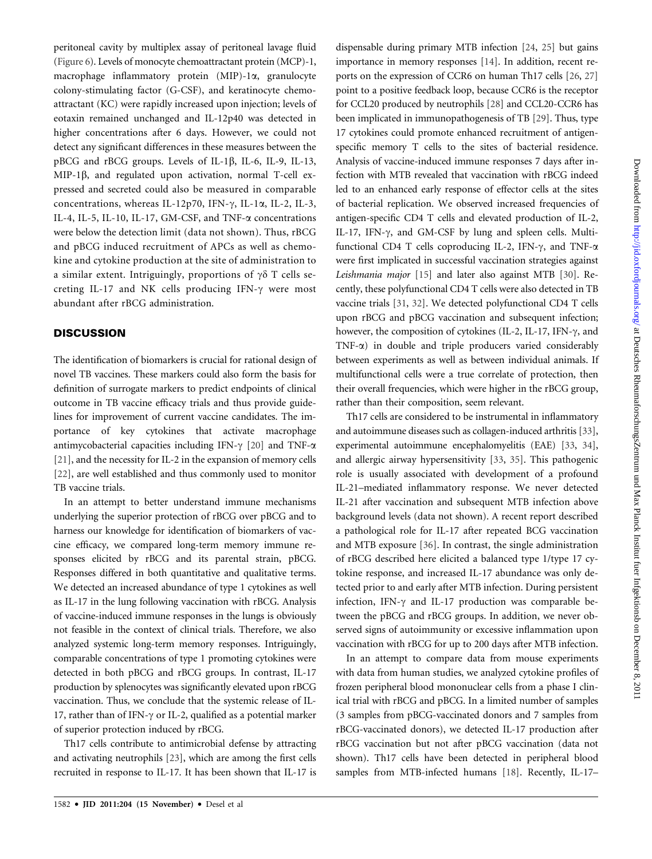peritoneal cavity by multiplex assay of peritoneal lavage fluid [\(Figure 6\)](#page-7-0). Levels of monocyte chemoattractant protein (MCP)-1, macrophage inflammatory protein (MIP)-1a, granulocyte colony-stimulating factor (G-CSF), and keratinocyte chemoattractant (KC) were rapidly increased upon injection; levels of eotaxin remained unchanged and IL-12p40 was detected in higher concentrations after 6 days. However, we could not detect any significant differences in these measures between the pBCG and rBCG groups. Levels of IL-1 $\beta$ , IL-6, IL-9, IL-13, MIP-1 $\beta$ , and regulated upon activation, normal T-cell expressed and secreted could also be measured in comparable concentrations, whereas IL-12p70, IFN- $\gamma$ , IL-1 $\alpha$ , IL-2, IL-3, IL-4, IL-5, IL-10, IL-17, GM-CSF, and TNF-a concentrations were below the detection limit (data not shown). Thus, rBCG and pBCG induced recruitment of APCs as well as chemokine and cytokine production at the site of administration to a similar extent. Intriguingly, proportions of  $\gamma\delta$  T cells secreting IL-17 and NK cells producing IFN- $\gamma$  were most abundant after rBCG administration.

## **DISCUSSION**

The identification of biomarkers is crucial for rational design of novel TB vaccines. These markers could also form the basis for definition of surrogate markers to predict endpoints of clinical outcome in TB vaccine efficacy trials and thus provide guidelines for improvement of current vaccine candidates. The importance of key cytokines that activate macrophage antimycobacterial capacities including IFN- $\gamma$  [\[20](#page-11-0)] and TNF- $\alpha$ [\[21](#page-11-0)], and the necessity for IL-2 in the expansion of memory cells [\[22](#page-11-0)], are well established and thus commonly used to monitor TB vaccine trials.

In an attempt to better understand immune mechanisms underlying the superior protection of rBCG over pBCG and to harness our knowledge for identification of biomarkers of vaccine efficacy, we compared long-term memory immune responses elicited by rBCG and its parental strain, pBCG. Responses differed in both quantitative and qualitative terms. We detected an increased abundance of type 1 cytokines as well as IL-17 in the lung following vaccination with rBCG. Analysis of vaccine-induced immune responses in the lungs is obviously not feasible in the context of clinical trials. Therefore, we also analyzed systemic long-term memory responses. Intriguingly, comparable concentrations of type 1 promoting cytokines were detected in both pBCG and rBCG groups. In contrast, IL-17 production by splenocytes was significantly elevated upon rBCG vaccination. Thus, we conclude that the systemic release of IL-17, rather than of IFN- $\gamma$  or IL-2, qualified as a potential marker of superior protection induced by rBCG.

Th17 cells contribute to antimicrobial defense by attracting and activating neutrophils [\[23](#page-11-0)], which are among the first cells recruited in response to IL-17. It has been shown that IL-17 is

dispensable during primary MTB infection [[24,](#page-11-0) [25](#page-11-0)] but gains importance in memory responses [\[14](#page-10-0)]. In addition, recent reports on the expression of CCR6 on human Th17 cells [[26,](#page-11-0) [27\]](#page-11-0) point to a positive feedback loop, because CCR6 is the receptor for CCL20 produced by neutrophils [[28\]](#page-11-0) and CCL20-CCR6 has been implicated in immunopathogenesis of TB [\[29](#page-11-0)]. Thus, type 17 cytokines could promote enhanced recruitment of antigenspecific memory T cells to the sites of bacterial residence. Analysis of vaccine-induced immune responses 7 days after infection with MTB revealed that vaccination with rBCG indeed led to an enhanced early response of effector cells at the sites of bacterial replication. We observed increased frequencies of antigen-specific CD4 T cells and elevated production of IL-2, IL-17, IFN- $\gamma$ , and GM-CSF by lung and spleen cells. Multifunctional CD4 T cells coproducing IL-2, IFN- $\gamma$ , and TNF- $\alpha$ were first implicated in successful vaccination strategies against Leishmania major [\[15](#page-10-0)] and later also against MTB [\[30](#page-11-0)]. Recently, these polyfunctional CD4 T cells were also detected in TB vaccine trials [\[31](#page-11-0), [32](#page-11-0)]. We detected polyfunctional CD4 T cells upon rBCG and pBCG vaccination and subsequent infection; however, the composition of cytokines (IL-2, IL-17, IFN- $\gamma$ , and TNF-a) in double and triple producers varied considerably between experiments as well as between individual animals. If multifunctional cells were a true correlate of protection, then their overall frequencies, which were higher in the rBCG group, rather than their composition, seem relevant.

Th17 cells are considered to be instrumental in inflammatory and autoimmune diseases such as collagen-induced arthritis [[33](#page-11-0)], experimental autoimmune encephalomyelitis (EAE) [[33,](#page-11-0) [34](#page-11-0)], and allergic airway hypersensitivity [[33,](#page-11-0) [35\]](#page-11-0). This pathogenic role is usually associated with development of a profound IL-21–mediated inflammatory response. We never detected IL-21 after vaccination and subsequent MTB infection above background levels (data not shown). A recent report described a pathological role for IL-17 after repeated BCG vaccination and MTB exposure [[36\]](#page-11-0). In contrast, the single administration of rBCG described here elicited a balanced type 1/type 17 cytokine response, and increased IL-17 abundance was only detected prior to and early after MTB infection. During persistent infection, IFN- $\gamma$  and IL-17 production was comparable between the pBCG and rBCG groups. In addition, we never observed signs of autoimmunity or excessive inflammation upon vaccination with rBCG for up to 200 days after MTB infection.

In an attempt to compare data from mouse experiments with data from human studies, we analyzed cytokine profiles of frozen peripheral blood mononuclear cells from a phase I clinical trial with rBCG and pBCG. In a limited number of samples (3 samples from pBCG-vaccinated donors and 7 samples from rBCG-vaccinated donors), we detected IL-17 production after rBCG vaccination but not after pBCG vaccination (data not shown). Th17 cells have been detected in peripheral blood samples from MTB-infected humans [\[18\]](#page-10-0). Recently, IL-17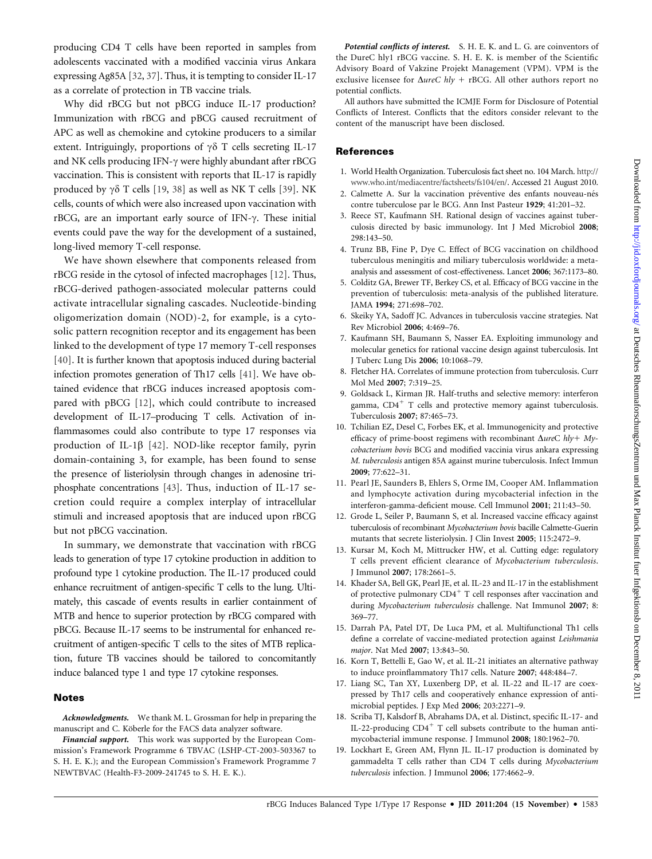<span id="page-10-0"></span>producing CD4 T cells have been reported in samples from adolescents vaccinated with a modified vaccinia virus Ankara expressing Ag85A [\[32](#page-11-0), [37](#page-11-0)]. Thus, it is tempting to consider IL-17 as a correlate of protection in TB vaccine trials.

Why did rBCG but not pBCG induce IL-17 production? Immunization with rBCG and pBCG caused recruitment of APC as well as chemokine and cytokine producers to a similar extent. Intriguingly, proportions of  $\gamma\delta$  T cells secreting IL-17 and NK cells producing IFN- $\gamma$  were highly abundant after rBCG vaccination. This is consistent with reports that IL-17 is rapidly produced by  $\gamma\delta$  T cells [19, [38\]](#page-11-0) as well as NK T cells [\[39](#page-11-0)]. NK cells, counts of which were also increased upon vaccination with rBCG, are an important early source of IFN- $\gamma$ . These initial events could pave the way for the development of a sustained, long-lived memory T-cell response.

We have shown elsewhere that components released from rBCG reside in the cytosol of infected macrophages [12]. Thus, rBCG-derived pathogen-associated molecular patterns could activate intracellular signaling cascades. Nucleotide-binding oligomerization domain (NOD)-2, for example, is a cytosolic pattern recognition receptor and its engagement has been linked to the development of type 17 memory T-cell responses [[40\]](#page-11-0). It is further known that apoptosis induced during bacterial infection promotes generation of Th17 cells [\[41](#page-11-0)]. We have obtained evidence that rBCG induces increased apoptosis compared with pBCG [12], which could contribute to increased development of IL-17–producing T cells. Activation of inflammasomes could also contribute to type 17 responses via production of IL-1 $\beta$  [[42\]](#page-11-0). NOD-like receptor family, pyrin domain-containing 3, for example, has been found to sense the presence of listeriolysin through changes in adenosine triphosphate concentrations [[43](#page-11-0)]. Thus, induction of IL-17 secretion could require a complex interplay of intracellular stimuli and increased apoptosis that are induced upon rBCG but not pBCG vaccination.

In summary, we demonstrate that vaccination with rBCG leads to generation of type 17 cytokine production in addition to profound type 1 cytokine production. The IL-17 produced could enhance recruitment of antigen-specific T cells to the lung. Ultimately, this cascade of events results in earlier containment of MTB and hence to superior protection by rBCG compared with pBCG. Because IL-17 seems to be instrumental for enhanced recruitment of antigen-specific T cells to the sites of MTB replication, future TB vaccines should be tailored to concomitantly induce balanced type 1 and type 17 cytokine responses.

#### Notes

Acknowledgments. We thank M. L. Grossman for help in preparing the manuscript and C. Köberle for the FACS data analyzer software.

Financial support. This work was supported by the European Commission's Framework Programme 6 TBVAC (LSHP-CT-2003-503367 to S. H. E. K.); and the European Commission's Framework Programme 7 NEWTBVAC (Health-F3-2009-241745 to S. H. E. K.).

Potential conflicts of interest. S. H. E. K. and L. G. are coinventors of the DureC hly1 rBCG vaccine. S. H. E. K. is member of the Scientific Advisory Board of Vakzine Projekt Management (VPM). VPM is the exclusive licensee for  $\Delta$ ureC hly + rBCG. All other authors report no potential conflicts.

All authors have submitted the ICMJE Form for Disclosure of Potential Conflicts of Interest. Conflicts that the editors consider relevant to the content of the manuscript have been disclosed.

#### References

- 1. World Health Organization. Tuberculosis fact sheet no. 104 March. [http://](http://www.who.int/mediacentre/factsheets/fs104/en/) [www.who.int/mediacentre/factsheets/fs104/en/](http://www.who.int/mediacentre/factsheets/fs104/en/). Accessed 21 August 2010.
- 2. Calmette A. Sur la vaccination préventive des enfants nouveau-nés contre tuberculose par le BCG. Ann Inst Pasteur 1929; 41:201–32.
- 3. Reece ST, Kaufmann SH. Rational design of vaccines against tuberculosis directed by basic immunology. Int J Med Microbiol 2008; 298:143–50.
- 4. Trunz BB, Fine P, Dye C. Effect of BCG vaccination on childhood tuberculous meningitis and miliary tuberculosis worldwide: a metaanalysis and assessment of cost-effectiveness. Lancet 2006; 367:1173–80.
- 5. Colditz GA, Brewer TF, Berkey CS, et al. Efficacy of BCG vaccine in the prevention of tuberculosis: meta-analysis of the published literature. JAMA 1994; 271:698–702.
- 6. Skeiky YA, Sadoff JC. Advances in tuberculosis vaccine strategies. Nat Rev Microbiol 2006; 4:469–76.
- 7. Kaufmann SH, Baumann S, Nasser EA. Exploiting immunology and molecular genetics for rational vaccine design against tuberculosis. Int J Tuberc Lung Dis 2006; 10:1068–79.
- 8. Fletcher HA. Correlates of immune protection from tuberculosis. Curr Mol Med 2007; 7:319–25.
- 9. Goldsack L, Kirman JR. Half-truths and selective memory: interferon gamma,  $CD4^+$  T cells and protective memory against tuberculosis. Tuberculosis 2007; 87:465–73.
- 10. Tchilian EZ, Desel C, Forbes EK, et al. Immunogenicity and protective efficacy of prime-boost regimens with recombinant  $\Delta u$ reC hly+ Mycobacterium bovis BCG and modified vaccinia virus ankara expressing M. tuberculosis antigen 85A against murine tuberculosis. Infect Immun 2009; 77:622–31.
- 11. Pearl JE, Saunders B, Ehlers S, Orme IM, Cooper AM. Inflammation and lymphocyte activation during mycobacterial infection in the interferon-gamma-deficient mouse. Cell Immunol 2001; 211:43–50.
- 12. Grode L, Seiler P, Baumann S, et al. Increased vaccine efficacy against tuberculosis of recombinant Mycobacterium bovis bacille Calmette-Guerin mutants that secrete listeriolysin. J Clin Invest 2005; 115:2472–9.
- 13. Kursar M, Koch M, Mittrucker HW, et al. Cutting edge: regulatory T cells prevent efficient clearance of Mycobacterium tuberculosis. J Immunol 2007; 178:2661–5.
- 14. Khader SA, Bell GK, Pearl JE, et al. IL-23 and IL-17 in the establishment of protective pulmonary  $CD4^+$  T cell responses after vaccination and during Mycobacterium tuberculosis challenge. Nat Immunol 2007; 8: 369–77.
- 15. Darrah PA, Patel DT, De Luca PM, et al. Multifunctional Th1 cells define a correlate of vaccine-mediated protection against Leishmania major. Nat Med 2007; 13:843–50.
- 16. Korn T, Bettelli E, Gao W, et al. IL-21 initiates an alternative pathway to induce proinflammatory Th17 cells. Nature 2007; 448:484–7.
- 17. Liang SC, Tan XY, Luxenberg DP, et al. IL-22 and IL-17 are coexpressed by Th17 cells and cooperatively enhance expression of antimicrobial peptides. J Exp Med 2006; 203:2271–9.
- 18. Scriba TJ, Kalsdorf B, Abrahams DA, et al. Distinct, specific IL-17- and IL-22-producing  $CD4^+$  T cell subsets contribute to the human antimycobacterial immune response. J Immunol 2008; 180:1962–70.
- 19. Lockhart E, Green AM, Flynn JL. IL-17 production is dominated by gammadelta T cells rather than CD4 T cells during Mycobacterium tuberculosis infection. J Immunol 2006; 177:4662–9.